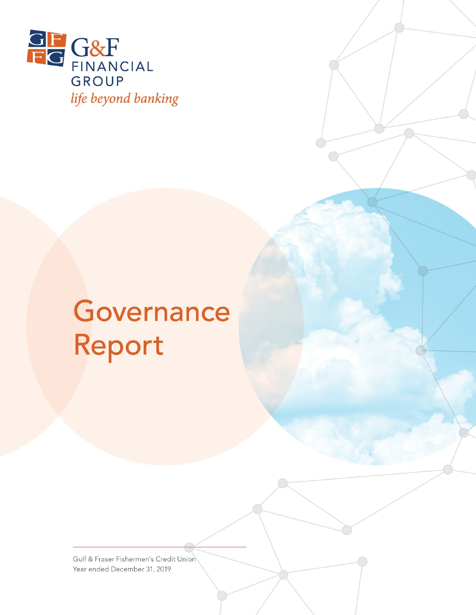

# Governance Report

Gulf & Fraser Fishermen's Credit Union Year ended December 31, 2019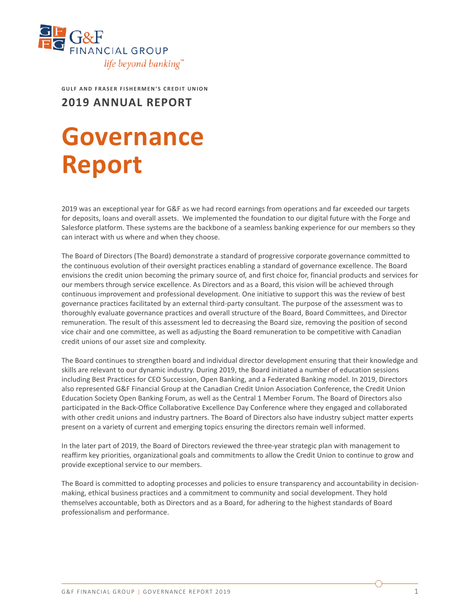

**GULF AND FRASER FISHERMEN'S CREDIT UNION**

**2019 ANNUAL REPORT**

## **Governance Report**

2019 was an exceptional year for G&F as we had record earnings from operations and far exceeded our targets for deposits, loans and overall assets. We implemented the foundation to our digital future with the Forge and Salesforce platform. These systems are the backbone of a seamless banking experience for our members so they can interact with us where and when they choose.

The Board of Directors (The Board) demonstrate a standard of progressive corporate governance committed to the continuous evolution of their oversight practices enabling a standard of governance excellence. The Board envisions the credit union becoming the primary source of, and first choice for, financial products and services for our members through service excellence. As Directors and as a Board, this vision will be achieved through continuous improvement and professional development. One initiative to support this was the review of best governance practices facilitated by an external third-party consultant. The purpose of the assessment was to thoroughly evaluate governance practices and overall structure of the Board, Board Committees, and Director remuneration. The result of this assessment led to decreasing the Board size, removing the position of second vice chair and one committee, as well as adjusting the Board remuneration to be competitive with Canadian credit unions of our asset size and complexity.

The Board continues to strengthen board and individual director development ensuring that their knowledge and skills are relevant to our dynamic industry. During 2019, the Board initiated a number of education sessions including Best Practices for CEO Succession, Open Banking, and a Federated Banking model. In 2019, Directors also represented G&F Financial Group at the Canadian Credit Union Association Conference, the Credit Union Education Society Open Banking Forum, as well as the Central 1 Member Forum. The Board of Directors also participated in the Back-Office Collaborative Excellence Day Conference where they engaged and collaborated with other credit unions and industry partners. The Board of Directors also have industry subject matter experts present on a variety of current and emerging topics ensuring the directors remain well informed.

In the later part of 2019, the Board of Directors reviewed the three-year strategic plan with management to reaffirm key priorities, organizational goals and commitments to allow the Credit Union to continue to grow and provide exceptional service to our members.

The Board is committed to adopting processes and policies to ensure transparency and accountability in decisionmaking, ethical business practices and a commitment to community and social development. They hold themselves accountable, both as Directors and as a Board, for adhering to the highest standards of Board professionalism and performance.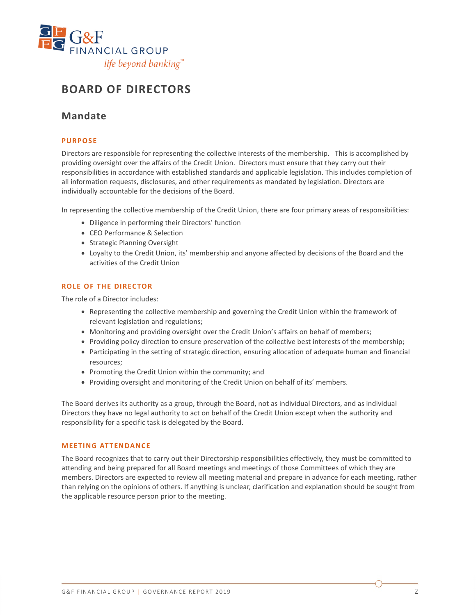

## **BOARD OF DIRECTORS**

## **Mandate**

#### **PURPOSE**

Directors are responsible for representing the collective interests of the membership. This is accomplished by providing oversight over the affairs of the Credit Union. Directors must ensure that they carry out their responsibilities in accordance with established standards and applicable legislation. This includes completion of all information requests, disclosures, and other requirements as mandated by legislation. Directors are individually accountable for the decisions of the Board.

In representing the collective membership of the Credit Union, there are four primary areas of responsibilities:

- Diligence in performing their Directors' function
- CEO Performance & Selection
- Strategic Planning Oversight
- Loyalty to the Credit Union, its' membership and anyone affected by decisions of the Board and the activities of the Credit Union

#### **ROLE OF THE DIRECTOR**

The role of a Director includes:

- Representing the collective membership and governing the Credit Union within the framework of relevant legislation and regulations;
- Monitoring and providing oversight over the Credit Union's affairs on behalf of members;
- Providing policy direction to ensure preservation of the collective best interests of the membership;
- Participating in the setting of strategic direction, ensuring allocation of adequate human and financial resources;
- Promoting the Credit Union within the community; and
- Providing oversight and monitoring of the Credit Union on behalf of its' members.

The Board derives its authority as a group, through the Board, not as individual Directors, and as individual Directors they have no legal authority to act on behalf of the Credit Union except when the authority and responsibility for a specific task is delegated by the Board.

#### **MEETING ATTENDANCE**

The Board recognizes that to carry out their Directorship responsibilities effectively, they must be committed to attending and being prepared for all Board meetings and meetings of those Committees of which they are members. Directors are expected to review all meeting material and prepare in advance for each meeting, rather than relying on the opinions of others. If anything is unclear, clarification and explanation should be sought from the applicable resource person prior to the meeting.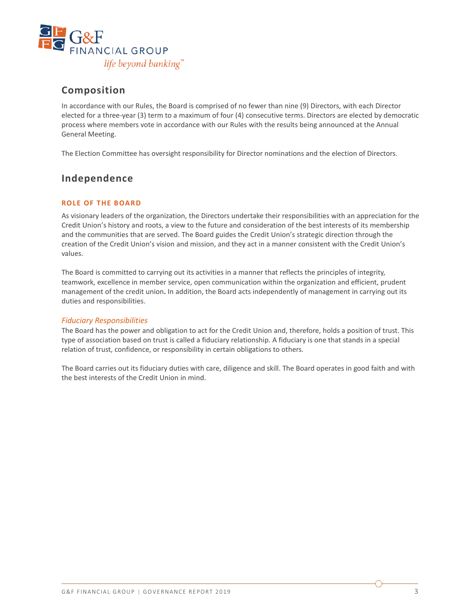

## **Composition**

In accordance with our Rules, the Board is comprised of no fewer than nine (9) Directors, with each Director elected for a three-year (3) term to a maximum of four (4) consecutive terms. Directors are elected by democratic process where members vote in accordance with our Rules with the results being announced at the Annual General Meeting.

The Election Committee has oversight responsibility for Director nominations and the election of Directors.

## **Independence**

#### **ROLE OF THE BOARD**

As visionary leaders of the organization, the Directors undertake their responsibilities with an appreciation for the Credit Union's history and roots, a view to the future and consideration of the best interests of its membership and the communities that are served. The Board guides the Credit Union's strategic direction through the creation of the Credit Union's vision and mission, and they act in a manner consistent with the Credit Union's values.

The Board is committed to carrying out its activities in a manner that reflects the principles of integrity, teamwork, excellence in member service, open communication within the organization and efficient, prudent management of the credit union**.** In addition, the Board acts independently of management in carrying out its duties and responsibilities.

#### *Fiduciary Responsibilities*

The Board has the power and obligation to act for the Credit Union and, therefore, holds a position of trust. This type of association based on trust is called a fiduciary relationship. A fiduciary is one that stands in a special relation of trust, confidence, or responsibility in certain obligations to others.

The Board carries out its fiduciary duties with care, diligence and skill. The Board operates in good faith and with the best interests of the Credit Union in mind.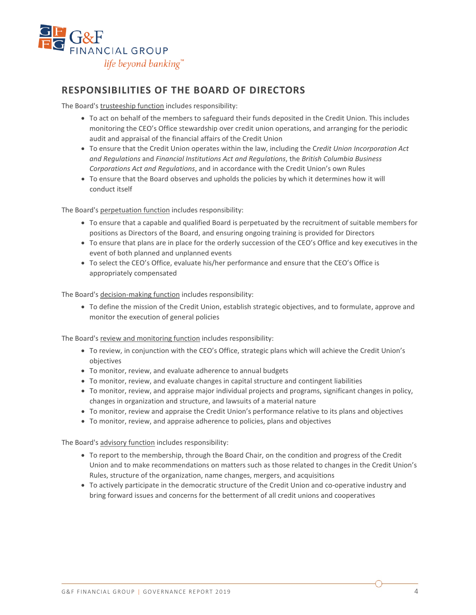

## **RESPONSIBILITIES OF THE BOARD OF DIRECTORS**

The Board's trusteeship function includes responsibility:

- To act on behalf of the members to safeguard their funds deposited in the Credit Union. This includes monitoring the CEO's Office stewardship over credit union operations, and arranging for the periodic audit and appraisal of the financial affairs of the Credit Union
- To ensure that the Credit Union operates within the law, including the C*redit Union Incorporation Act and Regulations* and *Financial Institutions Act and Regulations*, the *British Columbia Business Corporations Act and Regulations*, and in accordance with the Credit Union's own Rules
- To ensure that the Board observes and upholds the policies by which it determines how it will conduct itself

The Board's perpetuation function includes responsibility:

- To ensure that a capable and qualified Board is perpetuated by the recruitment of suitable members for positions as Directors of the Board, and ensuring ongoing training is provided for Directors
- To ensure that plans are in place for the orderly succession of the CEO's Office and key executives in the event of both planned and unplanned events
- To select the CEO's Office, evaluate his/her performance and ensure that the CEO's Office is appropriately compensated

The Board's decision-making function includes responsibility:

• To define the mission of the Credit Union, establish strategic objectives, and to formulate, approve and monitor the execution of general policies

The Board's review and monitoring function includes responsibility:

- To review, in conjunction with the CEO's Office, strategic plans which will achieve the Credit Union's objectives
- To monitor, review, and evaluate adherence to annual budgets
- To monitor, review, and evaluate changes in capital structure and contingent liabilities
- To monitor, review, and appraise major individual projects and programs, significant changes in policy, changes in organization and structure, and lawsuits of a material nature
- To monitor, review and appraise the Credit Union's performance relative to its plans and objectives
- To monitor, review, and appraise adherence to policies, plans and objectives

The Board's advisory function includes responsibility:

- To report to the membership, through the Board Chair, on the condition and progress of the Credit Union and to make recommendations on matters such as those related to changes in the Credit Union's Rules, structure of the organization, name changes, mergers, and acquisitions
- To actively participate in the democratic structure of the Credit Union and co-operative industry and bring forward issues and concerns for the betterment of all credit unions and cooperatives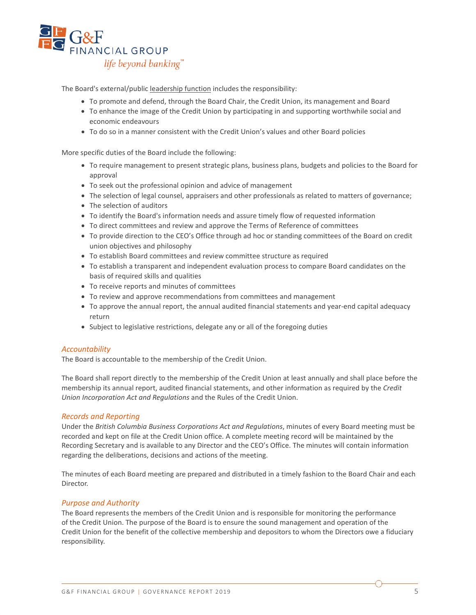

The Board's external/public leadership function includes the responsibility:

- To promote and defend, through the Board Chair, the Credit Union, its management and Board
- To enhance the image of the Credit Union by participating in and supporting worthwhile social and economic endeavours
- To do so in a manner consistent with the Credit Union's values and other Board policies

More specific duties of the Board include the following:

- To require management to present strategic plans, business plans, budgets and policies to the Board for approval
- To seek out the professional opinion and advice of management
- The selection of legal counsel, appraisers and other professionals as related to matters of governance;
- The selection of auditors
- To identify the Board's information needs and assure timely flow of requested information
- To direct committees and review and approve the Terms of Reference of committees
- To provide direction to the CEO's Office through ad hoc or standing committees of the Board on credit union objectives and philosophy
- To establish Board committees and review committee structure as required
- To establish a transparent and independent evaluation process to compare Board candidates on the basis of required skills and qualities
- To receive reports and minutes of committees
- To review and approve recommendations from committees and management
- To approve the annual report, the annual audited financial statements and year-end capital adequacy return
- Subject to legislative restrictions, delegate any or all of the foregoing duties

#### *Accountability*

The Board is accountable to the membership of the Credit Union.

The Board shall report directly to the membership of the Credit Union at least annually and shall place before the membership its annual report, audited financial statements, and other information as required by the *Credit Union Incorporation Act and Regulations* and the Rules of the Credit Union.

#### *Records and Reporting*

Under the *British Columbia Business Corporations Act and Regulations*, minutes of every Board meeting must be recorded and kept on file at the Credit Union office. A complete meeting record will be maintained by the Recording Secretary and is available to any Director and the CEO's Office. The minutes will contain information regarding the deliberations, decisions and actions of the meeting.

The minutes of each Board meeting are prepared and distributed in a timely fashion to the Board Chair and each Director.

#### *Purpose and Authority*

The Board represents the members of the Credit Union and is responsible for monitoring the performance of the Credit Union. The purpose of the Board is to ensure the sound management and operation of the Credit Union for the benefit of the collective membership and depositors to whom the Directors owe a fiduciary responsibility.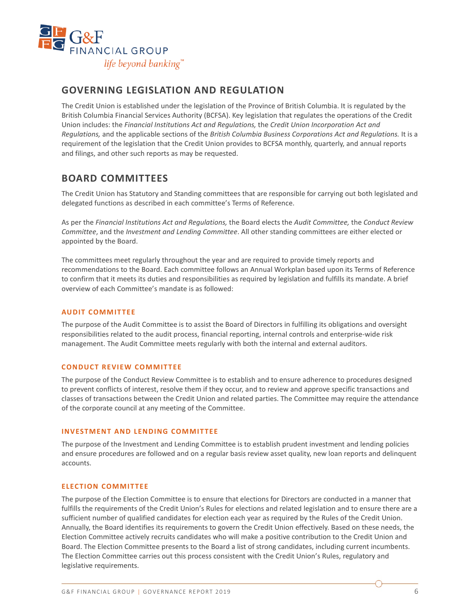

## **GOVERNING LEGISLATION AND REGULATION**

The Credit Union is established under the legislation of the Province of British Columbia. It is regulated by the British Columbia Financial Services Authority (BCFSA). Key legislation that regulates the operations of the Credit Union includes: the *Financial Institutions Act and Regulations,* the *Credit Union Incorporation Act and Regulations,* and the applicable sections of the *British Columbia Business Corporations Act and Regulations.* It is a requirement of the legislation that the Credit Union provides to BCFSA monthly, quarterly, and annual reports and filings, and other such reports as may be requested.

## **BOARD COMMITTEES**

The Credit Union has Statutory and Standing committees that are responsible for carrying out both legislated and delegated functions as described in each committee's Terms of Reference.

As per the *Financial Institutions Act and Regulations,* the Board elects the *Audit Committee,* the *Conduct Review Committee*, and the *Investment and Lending Committee*. All other standing committees are either elected or appointed by the Board.

The committees meet regularly throughout the year and are required to provide timely reports and recommendations to the Board. Each committee follows an Annual Workplan based upon its Terms of Reference to confirm that it meets its duties and responsibilities as required by legislation and fulfills its mandate. A brief overview of each Committee's mandate is as followed:

#### **AUDIT COMMITTEE**

The purpose of the Audit Committee is to assist the Board of Directors in fulfilling its obligations and oversight responsibilities related to the audit process, financial reporting, internal controls and enterprise-wide risk management. The Audit Committee meets regularly with both the internal and external auditors.

#### **CONDUCT REVIEW COMMITTEE**

The purpose of the Conduct Review Committee is to establish and to ensure adherence to procedures designed to prevent conflicts of interest, resolve them if they occur, and to review and approve specific transactions and classes of transactions between the Credit Union and related parties. The Committee may require the attendance of the corporate council at any meeting of the Committee.

#### **INVESTMENT AND LENDING COMMITTEE**

The purpose of the Investment and Lending Committee is to establish prudent investment and lending policies and ensure procedures are followed and on a regular basis review asset quality, new loan reports and delinquent accounts.

#### **ELECTION COMMITTEE**

The purpose of the Election Committee is to ensure that elections for Directors are conducted in a manner that fulfills the requirements of the Credit Union's Rules for elections and related legislation and to ensure there are a sufficient number of qualified candidates for election each year as required by the Rules of the Credit Union. Annually, the Board identifies its requirements to govern the Credit Union effectively. Based on these needs, the Election Committee actively recruits candidates who will make a positive contribution to the Credit Union and Board. The Election Committee presents to the Board a list of strong candidates, including current incumbents. The Election Committee carries out this process consistent with the Credit Union's Rules, regulatory and legislative requirements.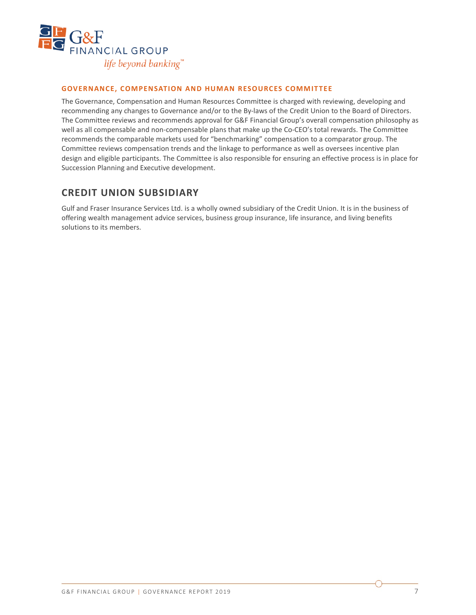

#### **GOVERNANCE, COMPENSATION AND HUMAN RESOURCES COMMITTEE**

The Governance, Compensation and Human Resources Committee is charged with reviewing, developing and recommending any changes to Governance and/or to the By-laws of the Credit Union to the Board of Directors. The Committee reviews and recommends approval for G&F Financial Group's overall compensation philosophy as well as all compensable and non-compensable plans that make up the Co-CEO's total rewards. The Committee recommends the comparable markets used for "benchmarking" compensation to a comparator group. The Committee reviews compensation trends and the linkage to performance as well as oversees incentive plan design and eligible participants. The Committee is also responsible for ensuring an effective process is in place for Succession Planning and Executive development.

### **CREDIT UNION SUBSIDIARY**

Gulf and Fraser Insurance Services Ltd. is a wholly owned subsidiary of the Credit Union. It is in the business of offering wealth management advice services, business group insurance, life insurance, and living benefits solutions to its members.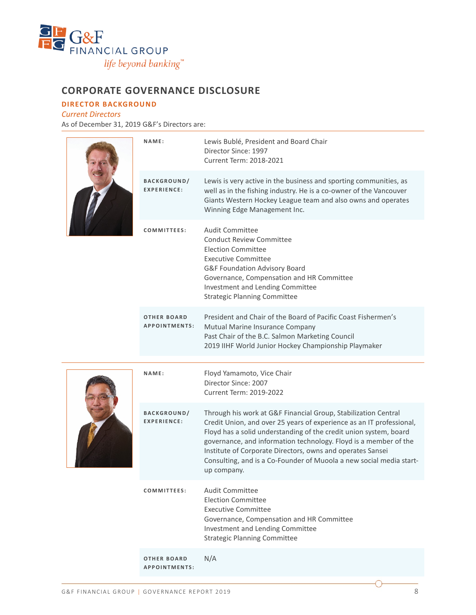

## **CORPORATE GOVERNANCE DISCLOSURE**

**DIRECTOR BACKGROUND**

*Current Directors* As of December 31, 2019 G&F's Directors are:

|  | NAME:                                      | Lewis Bublé, President and Board Chair<br>Director Since: 1997<br>Current Term: 2018-2021                                                                                                                                                                                                                                                                                                                                           |
|--|--------------------------------------------|-------------------------------------------------------------------------------------------------------------------------------------------------------------------------------------------------------------------------------------------------------------------------------------------------------------------------------------------------------------------------------------------------------------------------------------|
|  | BACKGROUND/<br><b>EXPERIENCE:</b>          | Lewis is very active in the business and sporting communities, as<br>well as in the fishing industry. He is a co-owner of the Vancouver<br>Giants Western Hockey League team and also owns and operates<br>Winning Edge Management Inc.                                                                                                                                                                                             |
|  | COMMITTEES:                                | Audit Committee<br><b>Conduct Review Committee</b><br><b>Election Committee</b><br><b>Executive Committee</b><br>G&F Foundation Advisory Board<br>Governance, Compensation and HR Committee<br>Investment and Lending Committee<br><b>Strategic Planning Committee</b>                                                                                                                                                              |
|  | <b>OTHER BOARD</b><br><b>APPOINTMENTS:</b> | President and Chair of the Board of Pacific Coast Fishermen's<br>Mutual Marine Insurance Company<br>Past Chair of the B.C. Salmon Marketing Council<br>2019 IIHF World Junior Hockey Championship Playmaker                                                                                                                                                                                                                         |
|  |                                            |                                                                                                                                                                                                                                                                                                                                                                                                                                     |
|  | NAME:                                      | Floyd Yamamoto, Vice Chair<br>Director Since: 2007<br>Current Term: 2019-2022                                                                                                                                                                                                                                                                                                                                                       |
|  | <b>BACKGROUND/</b><br><b>EXPERIENCE:</b>   | Through his work at G&F Financial Group, Stabilization Central<br>Credit Union, and over 25 years of experience as an IT professional,<br>Floyd has a solid understanding of the credit union system, board<br>governance, and information technology. Floyd is a member of the<br>Institute of Corporate Directors, owns and operates Sansei<br>Consulting, and is a Co-Founder of Muoola a new social media start-<br>up company. |
|  | COMMITTEES:                                | <b>Audit Committee</b><br><b>Election Committee</b><br><b>Executive Committee</b><br>Governance, Compensation and HR Committee<br>Investment and Lending Committee<br><b>Strategic Planning Committee</b>                                                                                                                                                                                                                           |

**OTHER BOARD APPOINTMENTS :** N/A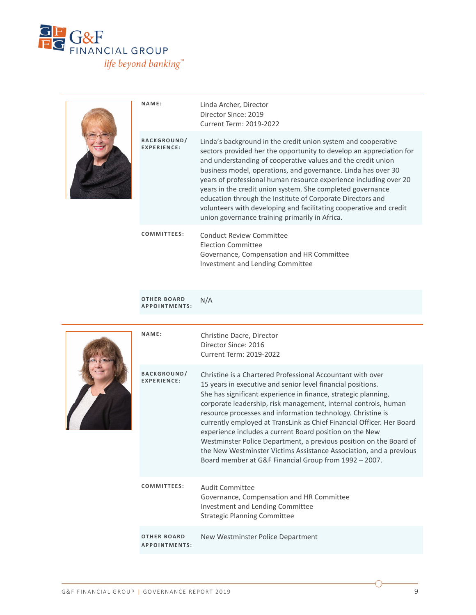

|  | NAME:                                    | Linda Archer, Director<br>Director Since: 2019<br>Current Term: 2019-2022                                                                                                                                                                                                                                                                                                                                                                                                                                                                                                                      |
|--|------------------------------------------|------------------------------------------------------------------------------------------------------------------------------------------------------------------------------------------------------------------------------------------------------------------------------------------------------------------------------------------------------------------------------------------------------------------------------------------------------------------------------------------------------------------------------------------------------------------------------------------------|
|  | <b>BACKGROUND/</b><br><b>EXPERIENCE:</b> | Linda's background in the credit union system and cooperative<br>sectors provided her the opportunity to develop an appreciation for<br>and understanding of cooperative values and the credit union<br>business model, operations, and governance. Linda has over 30<br>years of professional human resource experience including over 20<br>years in the credit union system. She completed governance<br>education through the Institute of Corporate Directors and<br>volunteers with developing and facilitating cooperative and credit<br>union governance training primarily in Africa. |
|  | COMMITTEES:                              | Conduct Review Committee<br>Election Committee<br>Governance, Compensation and HR Committee                                                                                                                                                                                                                                                                                                                                                                                                                                                                                                    |

Investment and Lending Committee

**OTHER BOARD APPOINTMENTS :** N/A

|  | NAME:                                      | Christine Dacre, Director<br>Director Since: 2016<br><b>Current Term: 2019-2022</b>                                                                                                                                                                                                                                                                                                                                                                                                                                                                                                                                                                                    |
|--|--------------------------------------------|------------------------------------------------------------------------------------------------------------------------------------------------------------------------------------------------------------------------------------------------------------------------------------------------------------------------------------------------------------------------------------------------------------------------------------------------------------------------------------------------------------------------------------------------------------------------------------------------------------------------------------------------------------------------|
|  | <b>BACKGROUND/</b><br><b>EXPERIENCE:</b>   | Christine is a Chartered Professional Accountant with over<br>15 years in executive and senior level financial positions.<br>She has significant experience in finance, strategic planning,<br>corporate leadership, risk management, internal controls, human<br>resource processes and information technology. Christine is<br>currently employed at TransLink as Chief Financial Officer. Her Board<br>experience includes a current Board position on the New<br>Westminster Police Department, a previous position on the Board of<br>the New Westminster Victims Assistance Association, and a previous<br>Board member at G&F Financial Group from 1992 - 2007. |
|  | COMMITTEES:                                | Audit Committee<br>Governance, Compensation and HR Committee<br>Investment and Lending Committee<br><b>Strategic Planning Committee</b>                                                                                                                                                                                                                                                                                                                                                                                                                                                                                                                                |
|  | <b>OTHER BOARD</b><br><b>APPOINTMENTS:</b> | New Westminster Police Department                                                                                                                                                                                                                                                                                                                                                                                                                                                                                                                                                                                                                                      |
|  |                                            |                                                                                                                                                                                                                                                                                                                                                                                                                                                                                                                                                                                                                                                                        |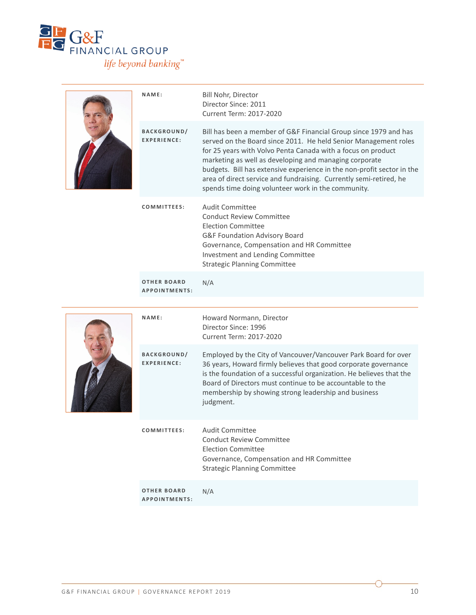

|  | NAME:                                    | Bill Nohr, Director<br>Director Since: 2011<br>Current Term: 2017-2020                                                                                                                                                                                                                                                                                                                                                                                              |
|--|------------------------------------------|---------------------------------------------------------------------------------------------------------------------------------------------------------------------------------------------------------------------------------------------------------------------------------------------------------------------------------------------------------------------------------------------------------------------------------------------------------------------|
|  | <b>BACKGROUND/</b><br><b>EXPERIENCE:</b> | Bill has been a member of G&F Financial Group since 1979 and has<br>served on the Board since 2011. He held Senior Management roles<br>for 25 years with Volvo Penta Canada with a focus on product<br>marketing as well as developing and managing corporate<br>budgets. Bill has extensive experience in the non-profit sector in the<br>area of direct service and fundraising. Currently semi-retired, he<br>spends time doing volunteer work in the community. |
|  | COMMITTEES:                              | <b>Audit Committee</b><br><b>Conduct Review Committee</b><br><b>Election Committee</b><br>G&F Foundation Advisory Board<br>Governance, Compensation and HR Committee<br>Investment and Lending Committee<br><b>Strategic Planning Committee</b>                                                                                                                                                                                                                     |
|  | <b>OTHER BOARD</b><br>APPOINTMENTS:      | N/A                                                                                                                                                                                                                                                                                                                                                                                                                                                                 |
|  |                                          |                                                                                                                                                                                                                                                                                                                                                                                                                                                                     |
|  | NAME:                                    | Howard Normann, Director<br>Director Since: 1996<br>Current Term: 2017-2020                                                                                                                                                                                                                                                                                                                                                                                         |
|  | <b>BACKGROUND/</b><br><b>EXPERIENCE:</b> | Employed by the City of Vancouver/Vancouver Park Board for over<br>36 years, Howard firmly believes that good corporate governance<br>is the foundation of a successful organization. He believes that the<br>Board of Directors must continue to be accountable to the<br>membership by showing strong leadership and business<br>judgment.                                                                                                                        |
|  | COMMITTEES:                              | <b>Audit Committee</b><br><b>Conduct Review Committee</b><br><b>Election Committee</b><br>Governance, Compensation and HR Committee<br><b>Strategic Planning Committee</b>                                                                                                                                                                                                                                                                                          |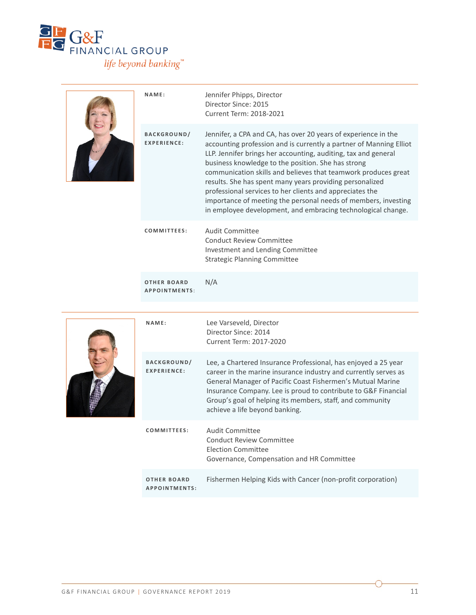

|  | NAME:                                      | Jennifer Phipps, Director<br>Director Since: 2015<br>Current Term: 2018-2021                                                                                                                                                                                                                                                                                                                                                                                                                                                                                                             |
|--|--------------------------------------------|------------------------------------------------------------------------------------------------------------------------------------------------------------------------------------------------------------------------------------------------------------------------------------------------------------------------------------------------------------------------------------------------------------------------------------------------------------------------------------------------------------------------------------------------------------------------------------------|
|  | <b>BACKGROUND/</b><br>EXPERIENCE:          | Jennifer, a CPA and CA, has over 20 years of experience in the<br>accounting profession and is currently a partner of Manning Elliot<br>LLP. Jennifer brings her accounting, auditing, tax and general<br>business knowledge to the position. She has strong<br>communication skills and believes that teamwork produces great<br>results. She has spent many years providing personalized<br>professional services to her clients and appreciates the<br>importance of meeting the personal needs of members, investing<br>in employee development, and embracing technological change. |
|  | COMMITTEES:                                | Audit Committee<br><b>Conduct Review Committee</b><br>Investment and Lending Committee<br><b>Strategic Planning Committee</b>                                                                                                                                                                                                                                                                                                                                                                                                                                                            |
|  | <b>OTHER BOARD</b><br><b>APPOINTMENTS:</b> | N/A                                                                                                                                                                                                                                                                                                                                                                                                                                                                                                                                                                                      |
|  |                                            |                                                                                                                                                                                                                                                                                                                                                                                                                                                                                                                                                                                          |



| NAME:                                    | Lee Varseveld, Director<br>Director Since: 2014<br>Current Term: 2017-2020                                                                                                                                                                                                                                                                                       |
|------------------------------------------|------------------------------------------------------------------------------------------------------------------------------------------------------------------------------------------------------------------------------------------------------------------------------------------------------------------------------------------------------------------|
| <b>BACKGROUND/</b><br><b>FXPFRIFNCF:</b> | Lee, a Chartered Insurance Professional, has enjoyed a 25 year<br>career in the marine insurance industry and currently serves as<br>General Manager of Pacific Coast Fishermen's Mutual Marine<br>Insurance Company. Lee is proud to contribute to G&F Financial<br>Group's goal of helping its members, staff, and community<br>achieve a life beyond banking. |
| COMMITTEES:                              | Audit Committee<br>Conduct Review Committee<br>Election Committee<br>Governance, Compensation and HR Committee                                                                                                                                                                                                                                                   |
| OTHER BOARD<br>APPOINTMENTS:             | Fishermen Helping Kids with Cancer (non-profit corporation)                                                                                                                                                                                                                                                                                                      |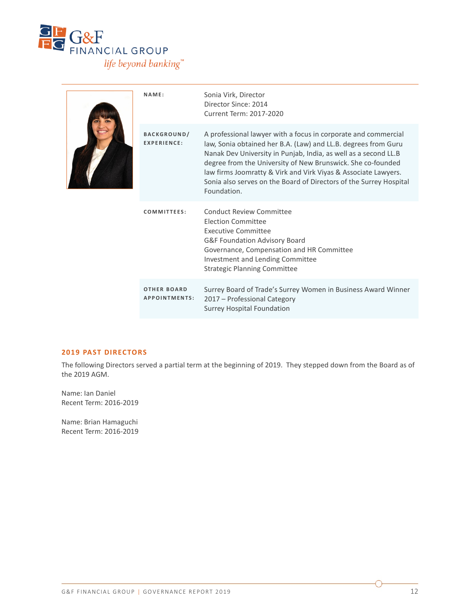

|  | NAME:                                    | Sonia Virk, Director<br>Director Since: 2014<br>Current Term: 2017-2020                                                                                                                                                                                                                                                                                                                                                   |
|--|------------------------------------------|---------------------------------------------------------------------------------------------------------------------------------------------------------------------------------------------------------------------------------------------------------------------------------------------------------------------------------------------------------------------------------------------------------------------------|
|  | <b>BACKGROUND/</b><br><b>EXPERIENCE:</b> | A professional lawyer with a focus in corporate and commercial<br>law, Sonia obtained her B.A. (Law) and LL.B. degrees from Guru<br>Nanak Dev University in Punjab, India, as well as a second LL.B<br>degree from the University of New Brunswick. She co-founded<br>law firms Joomratty & Virk and Virk Viyas & Associate Lawyers.<br>Sonia also serves on the Board of Directors of the Surrey Hospital<br>Foundation. |
|  | COMMITTEES:                              | Conduct Review Committee<br><b>Election Committee</b><br>Executive Committee<br>G&F Foundation Advisory Board<br>Governance, Compensation and HR Committee<br>Investment and Lending Committee<br><b>Strategic Planning Committee</b>                                                                                                                                                                                     |
|  | <b>OTHER BOARD</b><br>APPOINTMENTS:      | Surrey Board of Trade's Surrey Women in Business Award Winner<br>2017 – Professional Category<br><b>Surrey Hospital Foundation</b>                                                                                                                                                                                                                                                                                        |

#### **2019 PAST DIRECTORS**

The following Directors served a partial term at the beginning of 2019. They stepped down from the Board as of the 2019 AGM.

Name: Ian Daniel Recent Term: 2016-2019

Name: Brian Hamaguchi Recent Term: 2016-2019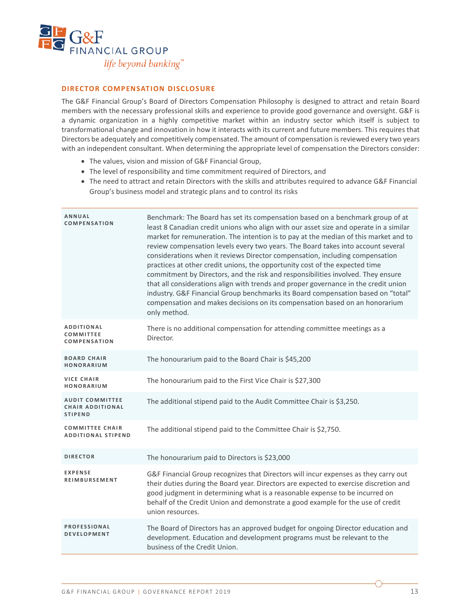

#### **DIRECTOR COMPENSATION DISCLOSURE**

The G&F Financial Group's Board of Directors Compensation Philosophy is designed to attract and retain Board members with the necessary professional skills and experience to provide good governance and oversight. G&F is a dynamic organization in a highly competitive market within an industry sector which itself is subject to transformational change and innovation in how it interacts with its current and future members. This requires that Directors be adequately and competitively compensated. The amount of compensation is reviewed every two years with an independent consultant. When determining the appropriate level of compensation the Directors consider:

- The values, vision and mission of G&F Financial Group,
- The level of responsibility and time commitment required of Directors, and
- The need to attract and retain Directors with the skills and attributes required to advance G&F Financial Group's business model and strategic plans and to control its risks

| ANNUAL<br><b>COMPENSATION</b>                                       | Benchmark: The Board has set its compensation based on a benchmark group of at<br>least 8 Canadian credit unions who align with our asset size and operate in a similar<br>market for remuneration. The intention is to pay at the median of this market and to<br>review compensation levels every two years. The Board takes into account several<br>considerations when it reviews Director compensation, including compensation<br>practices at other credit unions, the opportunity cost of the expected time<br>commitment by Directors, and the risk and responsibilities involved. They ensure<br>that all considerations align with trends and proper governance in the credit union<br>industry. G&F Financial Group benchmarks its Board compensation based on "total"<br>compensation and makes decisions on its compensation based on an honorarium<br>only method. |
|---------------------------------------------------------------------|----------------------------------------------------------------------------------------------------------------------------------------------------------------------------------------------------------------------------------------------------------------------------------------------------------------------------------------------------------------------------------------------------------------------------------------------------------------------------------------------------------------------------------------------------------------------------------------------------------------------------------------------------------------------------------------------------------------------------------------------------------------------------------------------------------------------------------------------------------------------------------|
| ADDITIONAL<br>COMMITTEE<br><b>COMPENSATION</b>                      | There is no additional compensation for attending committee meetings as a<br>Director.                                                                                                                                                                                                                                                                                                                                                                                                                                                                                                                                                                                                                                                                                                                                                                                           |
| <b>BOARD CHAIR</b><br>HONORARIUM                                    | The honourarium paid to the Board Chair is \$45,200                                                                                                                                                                                                                                                                                                                                                                                                                                                                                                                                                                                                                                                                                                                                                                                                                              |
| <b>VICE CHAIR</b><br>HONORARIUM                                     | The honourarium paid to the First Vice Chair is \$27,300                                                                                                                                                                                                                                                                                                                                                                                                                                                                                                                                                                                                                                                                                                                                                                                                                         |
| <b>AUDIT COMMITTEE</b><br><b>CHAIR ADDITIONAL</b><br><b>STIPEND</b> | The additional stipend paid to the Audit Committee Chair is \$3,250.                                                                                                                                                                                                                                                                                                                                                                                                                                                                                                                                                                                                                                                                                                                                                                                                             |
| <b>COMMITTEE CHAIR</b><br><b>ADDITIONAL STIPEND</b>                 | The additional stipend paid to the Committee Chair is \$2,750.                                                                                                                                                                                                                                                                                                                                                                                                                                                                                                                                                                                                                                                                                                                                                                                                                   |
| <b>DIRECTOR</b>                                                     | The honourarium paid to Directors is \$23,000                                                                                                                                                                                                                                                                                                                                                                                                                                                                                                                                                                                                                                                                                                                                                                                                                                    |
| <b>EXPENSE</b><br><b>REIMBURSEMENT</b>                              | G&F Financial Group recognizes that Directors will incur expenses as they carry out<br>their duties during the Board year. Directors are expected to exercise discretion and<br>good judgment in determining what is a reasonable expense to be incurred on<br>behalf of the Credit Union and demonstrate a good example for the use of credit<br>union resources.                                                                                                                                                                                                                                                                                                                                                                                                                                                                                                               |
| <b>PROFESSIONAL</b><br><b>DEVELOPMENT</b>                           | The Board of Directors has an approved budget for ongoing Director education and<br>development. Education and development programs must be relevant to the<br>business of the Credit Union.                                                                                                                                                                                                                                                                                                                                                                                                                                                                                                                                                                                                                                                                                     |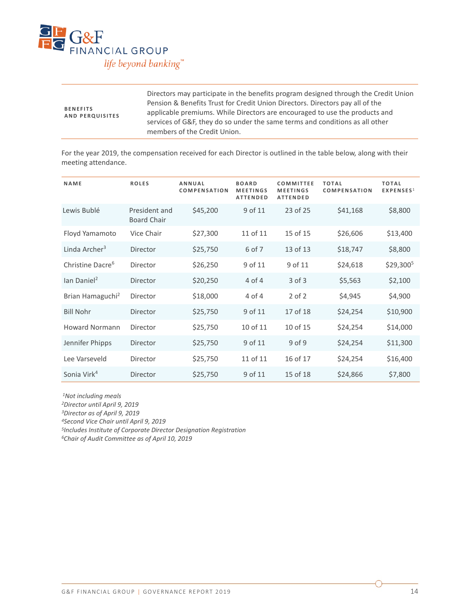

| <b>BENEFITS</b><br><b>AND PERQUISITES</b> | Directors may participate in the benefits program designed through the Credit Union<br>Pension & Benefits Trust for Credit Union Directors. Directors pay all of the<br>applicable premiums. While Directors are encouraged to use the products and<br>services of G&F, they do so under the same terms and conditions as all other<br>members of the Credit Union. |
|-------------------------------------------|---------------------------------------------------------------------------------------------------------------------------------------------------------------------------------------------------------------------------------------------------------------------------------------------------------------------------------------------------------------------|
|-------------------------------------------|---------------------------------------------------------------------------------------------------------------------------------------------------------------------------------------------------------------------------------------------------------------------------------------------------------------------------------------------------------------------|

For the year 2019, the compensation received for each Director is outlined in the table below, along with their meeting attendance.

| NAME                         | <b>ROLES</b>                        | <b>ANNUAL</b><br><b>COMPENSATION</b> | <b>BOARD</b><br><b>MEETINGS</b><br><b>ATTENDED</b> | <b>COMMITTEE</b><br><b>MEETINGS</b><br><b>ATTENDED</b> | <b>TOTAL</b><br><b>COMPENSATION</b> | <b>TOTAL</b><br>EXPENSES <sup>1</sup> |
|------------------------------|-------------------------------------|--------------------------------------|----------------------------------------------------|--------------------------------------------------------|-------------------------------------|---------------------------------------|
| Lewis Bublé                  | President and<br><b>Board Chair</b> | \$45,200                             | 9 of 11                                            | 23 of 25                                               | \$41,168                            | \$8,800                               |
| Floyd Yamamoto               | Vice Chair                          | \$27,300                             | 11 of 11                                           | 15 of 15                                               | \$26,606                            | \$13,400                              |
| Linda Archer <sup>3</sup>    | Director                            | \$25,750                             | 6 of 7                                             | 13 of 13                                               | \$18,747                            | \$8,800                               |
| Christine Dacre <sup>6</sup> | Director                            | \$26,250                             | 9 of 11                                            | 9 of 11                                                | \$24,618                            | \$29,3005                             |
| lan Daniel <sup>2</sup>      | Director                            | \$20,250                             | $4$ of $4$                                         | $3$ of $3$                                             | \$5,563                             | \$2,100                               |
| Brian Hamaguchi <sup>2</sup> | Director                            | \$18,000                             | 4 of 4                                             | $2$ of $2$                                             | \$4,945                             | \$4,900                               |
| <b>Bill Nohr</b>             | Director                            | \$25,750                             | 9 of 11                                            | 17 of 18                                               | \$24,254                            | \$10,900                              |
| <b>Howard Normann</b>        | Director                            | \$25,750                             | 10 of 11                                           | 10 of 15                                               | \$24,254                            | \$14,000                              |
| Jennifer Phipps              | Director                            | \$25,750                             | 9 of 11                                            | 9 of 9                                                 | \$24,254                            | \$11,300                              |
| Lee Varseveld                | Director                            | \$25,750                             | 11 of 11                                           | 16 of 17                                               | \$24,254                            | \$16,400                              |
| Sonia Virk <sup>4</sup>      | Director                            | \$25,750                             | 9 of 11                                            | 15 of 18                                               | \$24,866                            | \$7,800                               |

*1Not including meals*

*2Director until April 9, 2019*

*3Director as of April 9, 2019*

*4Second Vice Chair until April 9, 2019*

*5Includes Institute of Corporate Director Designation Registration*

*6Chair of Audit Committee as of April 10, 2019*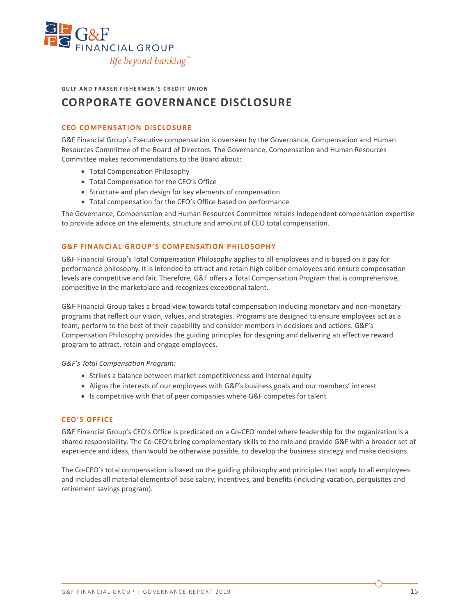

**GULF AND FRASER FISHERMEN'S CREDIT UNION**

## **CORPORATE GOVERNANCE DISCLOSURE**

#### **CEO COMPENSATION DISCLOSURE**

G&F Financial Group's Executive compensation is overseen by the Governance, Compensation and Human Resources Committee of the Board of Directors. The Governance, Compensation and Human Resources Committee makes recommendations to the Board about:

- Total Compensation Philosophy
- Total Compensation for the CEO's Office
- Structure and plan design for key elements of compensation
- Total compensation for the CEO's Office based on performance

The Governance, Compensation and Human Resources Committee retains independent compensation expertise to provide advice on the elements, structure and amount of CEO total compensation.

#### **G&F FINANCIAL GROUP'S COMPENSATION PHILOSOPHY**

G&F Financial Group's Total Compensation Philosophy applies to all employees and is based on a pay for performance philosophy. It is intended to attract and retain high caliber employees and ensure compensation levels are competitive and fair. Therefore, G&F offers a Total Compensation Program that is comprehensive, competitive in the marketplace and recognizes exceptional talent.

G&F Financial Group takes a broad view towards total compensation including monetary and non-monetary programs that reflect our vision, values, and strategies. Programs are designed to ensure employees act as a team, perform to the best of their capability and consider members in decisions and actions. G&F's Compensation Philosophy provides the guiding principles for designing and delivering an effective reward program to attract, retain and engage employees.

*G&F's Total Compensation Program:* 

- Strikes a balance between market competitiveness and internal equity
- Aligns the interests of our employees with G&F's business goals and our members' interest
- Is competitive with that of peer companies where G&F competes for talent

#### **CEO'S OFFICE**

G&F Financial Group's CEO's Office is predicated on a Co-CEO model where leadership for the organization is a shared responsibility. The Co-CEO's bring complementary skills to the role and provide G&F with a broader set of experience and ideas, than would be otherwise possible, to develop the business strategy and make decisions.

The Co-CEO's total compensation is based on the guiding philosophy and principles that apply to all employees and includes all material elements of base salary, incentives, and benefits (including vacation, perquisites and retirement savings program).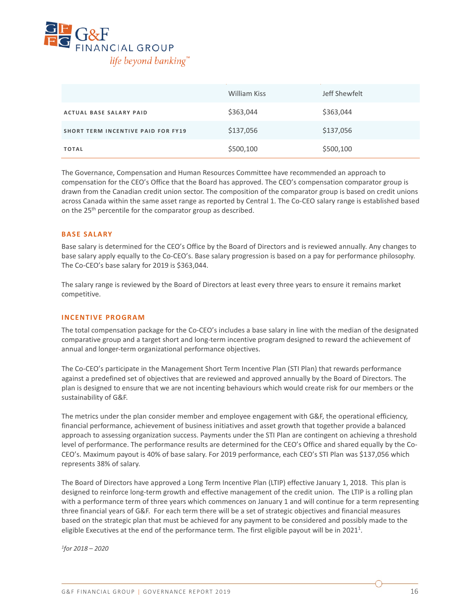

|                                           | William Kiss | Jeff Shewfelt |
|-------------------------------------------|--------------|---------------|
| <b>ACTUAL BASE SALARY PAID</b>            | \$363,044    | \$363,044     |
| <b>SHORT TERM INCENTIVE PAID FOR FY19</b> | \$137,056    | \$137,056     |
| <b>TOTAL</b>                              | \$500,100    | \$500,100     |

The Governance, Compensation and Human Resources Committee have recommended an approach to compensation for the CEO's Office that the Board has approved. The CEO's compensation comparator group is drawn from the Canadian credit union sector. The composition of the comparator group is based on credit unions across Canada within the same asset range as reported by Central 1. The Co-CEO salary range is established based on the 25<sup>th</sup> percentile for the comparator group as described.

#### **BASE SALARY**

Base salary is determined for the CEO's Office by the Board of Directors and is reviewed annually. Any changes to base salary apply equally to the Co-CEO's. Base salary progression is based on a pay for performance philosophy. The Co-CEO's base salary for 2019 is \$363,044.

The salary range is reviewed by the Board of Directors at least every three years to ensure it remains market competitive.

#### **INCENTIVE PROGRAM**

The total compensation package for the Co-CEO's includes a base salary in line with the median of the designated comparative group and a target short and long-term incentive program designed to reward the achievement of annual and longer-term organizational performance objectives.

The Co-CEO's participate in the Management Short Term Incentive Plan (STI Plan) that rewards performance against a predefined set of objectives that are reviewed and approved annually by the Board of Directors. The plan is designed to ensure that we are not incenting behaviours which would create risk for our members or the sustainability of G&F.

The metrics under the plan consider member and employee engagement with G&F, the operational efficiency, financial performance, achievement of business initiatives and asset growth that together provide a balanced approach to assessing organization success. Payments under the STI Plan are contingent on achieving a threshold level of performance. The performance results are determined for the CEO's Office and shared equally by the Co-CEO's. Maximum payout is 40% of base salary. For 2019 performance, each CEO's STI Plan was \$137,056 which represents 38% of salary.

The Board of Directors have approved a Long Term Incentive Plan (LTIP) effective January 1, 2018. This plan is designed to reinforce long-term growth and effective management of the credit union. The LTIP is a rolling plan with a performance term of three years which commences on January 1 and will continue for a term representing three financial years of G&F. For each term there will be a set of strategic objectives and financial measures based on the strategic plan that must be achieved for any payment to be considered and possibly made to the eligible Executives at the end of the performance term. The first eligible payout will be in 2021<sup>1</sup>.

*1for 2018 – 2020*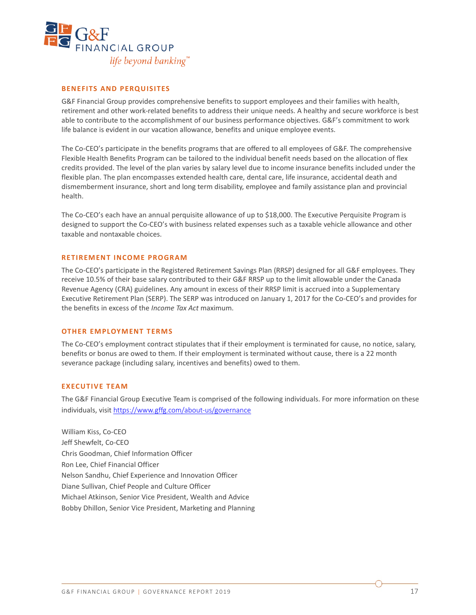

#### **BENEFITS AND PERQUISITES**

G&F Financial Group provides comprehensive benefits to support employees and their families with health, retirement and other work-related benefits to address their unique needs. A healthy and secure workforce is best able to contribute to the accomplishment of our business performance objectives. G&F's commitment to work life balance is evident in our vacation allowance, benefits and unique employee events.

The Co-CEO's participate in the benefits programs that are offered to all employees of G&F. The comprehensive Flexible Health Benefits Program can be tailored to the individual benefit needs based on the allocation of flex credits provided. The level of the plan varies by salary level due to income insurance benefits included under the flexible plan. The plan encompasses extended health care, dental care, life insurance, accidental death and dismemberment insurance, short and long term disability, employee and family assistance plan and provincial health.

The Co-CEO's each have an annual perquisite allowance of up to \$18,000. The Executive Perquisite Program is designed to support the Co-CEO's with business related expenses such as a taxable vehicle allowance and other taxable and nontaxable choices.

#### **RETIREMENT INCOME PROGRAM**

The Co-CEO's participate in the Registered Retirement Savings Plan (RRSP) designed for all G&F employees. They receive 10.5% of their base salary contributed to their G&F RRSP up to the limit allowable under the Canada Revenue Agency (CRA) guidelines. Any amount in excess of their RRSP limit is accrued into a Supplementary Executive Retirement Plan (SERP). The SERP was introduced on January 1, 2017 for the Co-CEO's and provides for the benefits in excess of the *Income Tax Act* maximum.

#### **OTHER EMPLOYMENT TERMS**

The Co-CEO's employment contract stipulates that if their employment is terminated for cause, no notice, salary, benefits or bonus are owed to them. If their employment is terminated without cause, there is a 22 month severance package (including salary, incentives and benefits) owed to them.

#### **EXECUTIVE TEAM**

The G&F Financial Group Executive Team is comprised of the following individuals. For more information on these individuals, visit <https://www.gffg.com/about-us/governance>

William Kiss, Co-CEO Jeff Shewfelt, Co-CEO Chris Goodman, Chief Information Officer Ron Lee, Chief Financial Officer Nelson Sandhu, Chief Experience and Innovation Officer Diane Sullivan, Chief People and Culture Officer Michael Atkinson, Senior Vice President, Wealth and Advice Bobby Dhillon, Senior Vice President, Marketing and Planning